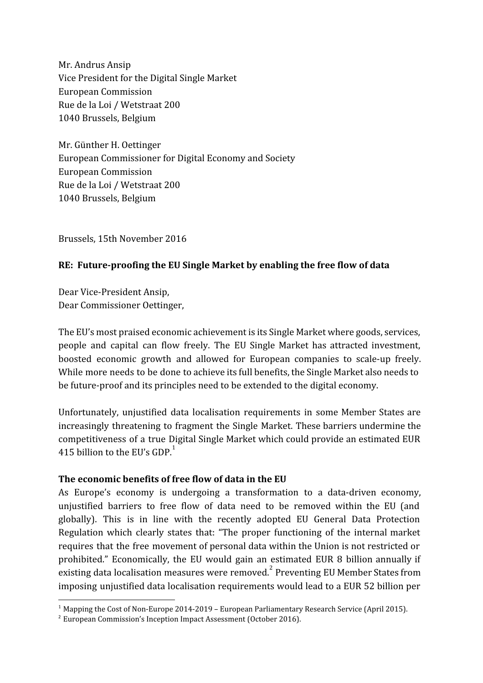Mr. Andrus Ansip Vice President for the Digital Single Market European Commission Rue de la Loi / Wetstraat 200 1040 Brussels, Belgium

Mr. Günther H. Oettinger European Commissioner for Digital Economy and Society European Commission Rue de la Loi / Wetstraat 200 1040 Brussels, Belgium

Brussels, 15th November 2016

# **RE: Future-proofing the EU Single Market by enabling the free flow of data**

Dear Vice-President Ansip, Dear Commissioner Oettinger,

The EU's most praised economic achievement is its Single Market where goods, services, people and capital can flow freely. The EU Single Market has attracted investment, boosted economic growth and allowed for European companies to scale-up freely. While more needs to be done to achieve its full benefits, the Single Market also needs to be future-proof and its principles need to be extended to the digital economy.

Unfortunately, unjustified data localisation requirements in some Member States are increasingly threatening to fragment the Single Market. These barriers undermine the competitiveness of a true Digital Single Market which could provide an estimated EUR 415 billion to the EU's GDP. $<sup>1</sup>$ </sup>

### **The economic benefits of free flow of data in the EU**

As Europe's economy is undergoing a transformation to a data-driven economy, unjustified barriers to free flow of data need to be removed within the EU (and globally). This is in line with the recently adopted EU General Data Protection Regulation which clearly states that: "The proper functioning of the internal market requires that the free movement of personal data within the Union is not restricted or prohibited." Economically, the EU would gain an estimated EUR 8 billion annually if existing data localisation measures were removed.<sup>2</sup> Preventing EU Member States from imposing unjustified data localisation requirements would lead to a EUR 52 billion per

<sup>&</sup>lt;sup>1</sup> Mapping the Cost of Non-Europe 2014-2019 – European Parliamentary Research Service (April 2015).

<sup>2</sup> European Commission's Inception Impact Assessment (October 2016).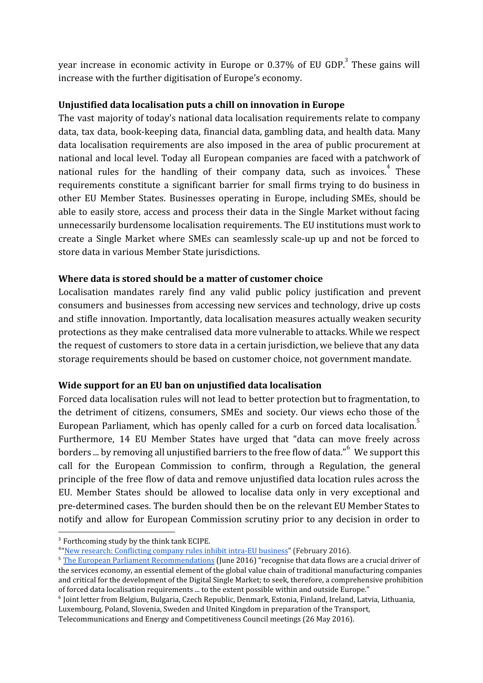year increase in economic activity in Europe or  $0.37\%$  of EU GDP.<sup>3</sup> These gains will increase with the further digitisation of Europe's economy.

## **Unjustified data localisation puts a chill on innovation in Europe**

The vast majority of today's national data localisation requirements relate to company data, tax data, book-keeping data, financial data, gambling data, and health data. Many data localisation requirements are also imposed in the area of public procurement at national and local level. Today all European companies are faced with a patchwork of national rules for the handling of their company data, such as invoices.<sup>4</sup> These requirements constitute a significant barrier for small firms trying to do business in other EU Member States. Businesses operating in Europe, including SMEs, should be able to easily store, access and process their data in the Single Market without facing unnecessarily burdensome localisation requirements. The EU institutions must work to create a Single Market where SMEs can seamlessly scale-up up and not be forced to store data in various Member State jurisdictions.

### **Where data is stored should be a matter of customer choice**

Localisation mandates rarely find any valid public policy justification and prevent consumers and businesses from accessing new services and technology, drive up costs and stifle innovation. Importantly, data localisation measures actually weaken security protections as they make centralised data more vulnerable to attacks. While we respect the request of customers to store data in a certain jurisdiction, we believe that any data storage requirements should be based on customer choice, not government mandate.

### **Wide support for an EU ban on unjustified data localisation**

Forced data localisation rules will not lead to better protection but to fragmentation, to the detriment of citizens, consumers, SMEs and society. Our views echo those of the European Parliament, which has openly called for a curb on forced data localisation.<sup>5</sup> Furthermore, 14 EU Member States have urged that "data can move freely across borders ... by removing all unjustified barriers to the free flow of data." We support this call for the European Commission to confirm, through a Regulation, the general principle of the free flow of data and remove unjustified data location rules across the EU. Member States should be allowed to localise data only in very exceptional and pre-determined cases. The burden should then be on the relevant EU Member States to notify and allow for European Commission scrutiny prior to any decision in order to

<sup>&</sup>lt;sup>3</sup> Forthcoming study by the think tank ECIPE.

<sup>&</sup>lt;sup>4</sup> ["New research: Conflicting company rules inhibit intra-EU business"](http://www.project-disco.org/information-flow/022316-new-research-conflicting-european-accounting-rules-inhibit-intra-eu-business) (February 2016).

<sup>5</sup> [The European Parliament Recommendations](http://www.europarl.europa.eu/sides/getDoc.do?pubRef=-//EP//NONSGML+TA+P8-TA-2016-0041+0+DOC+PDF+V0//EN) (June 2016) "recognise that data flows are a crucial driver of the services economy, an essential element of the global value chain of traditional manufacturing companies and critical for the development of the Digital Single Market; to seek, therefore, a comprehensive prohibition of forced data localisation requirements ... to the extent possible within and outside Europe."

<sup>6</sup> Joint letter from Belgium, Bulgaria, Czech Republic, Denmark, Estonia, Finland, Ireland, Latvia, Lithuania, Luxembourg, Poland, Slovenia, Sweden and United Kingdom in preparation of the Transport,

Telecommunications and Energy and Competitiveness Council meetings (26 May 2016).